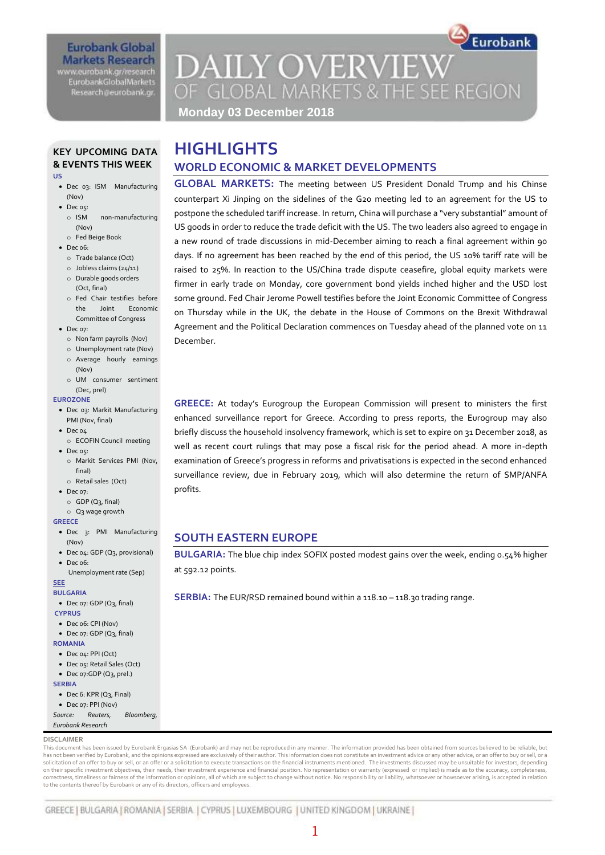#### **Eurobank Global Markets Research** www.eurobank.gr/research **EurobankGlobalMarkets**

Research@eurobank.gr

## **DAILY OVERVIEW** OF GLOBAL MARKETS & THE SEE REGION

Eurobank

**Monday 03 December 2018**

### **KEY UPCOMING DATA & EVENTS THIS WEEK**

#### **US**

- Dec 03: ISM Manufacturing (Nov)
- Dec o5:
	- o ISM non-manufacturing (Nov)
	- o Fed Beige Book
- $\bullet$  Dec 06:
	- o Trade balance (Oct)
	- o Jobless claims (24/11)
	- o Durable goods orders (Oct, final)
	- o Fed Chair testifies before the Joint Economic Committee of Congress
- Dec 07:
	- o Non farm payrolls (Nov)
	- o Unemployment rate (Nov) o Average hourly earnings
	- (Nov) o UM consumer sentiment
- (Dec, prel)

#### **EUROZONE**

- Dec 03: Markit Manufacturing PMI (Nov, final)
- $\bullet$  Dec  $04$
- o ECOFIN Council meeting  $\bullet$  Dec os:
- o Markit Services PMI (Nov, final)
- o Retail sales (Oct) • Dec 07:
- 
- $O$  GDP (Q<sub>3</sub>, final) o Q3 wage growth

#### **GREECE**

- Dec 3: PMI Manufacturing (Nov)
- Dec 04: GDP (Q3, provisional)
- Dec o6:

#### Unemployment rate (Sep) **SEE**

#### **BULGARIA**

Dec 07: GDP (Q3, final)

#### **CYPRUS**

- Dec 06: CPI (Nov)  $\bullet$  Dec 07: GDP ( $O<sub>2</sub>$ , final)
- **ROMANIA**
- Dec 04: PPI (Oct)
- Dec 05: Retail Sales (Oct)
- Dec 07:GDP (Q3, prel.)

#### **SERBIA**

- Dec 6: KPR (Q3, Final)
- Dec 07: PPI (Nov)
- *Source: Reuters, Bloomberg, Eurobank Research*
- **DISCLAIMER**

This document has been issued by Eurobank Ergasias SA (Eurobank) and may not be reproduced in any manner. The information provided has been obtained from sources believed to be reliable, but has not been verified by Eurobank, and the opinions expressed are exclusively of their author. This information does not constitute an investment advice or any other advice, or an offer to buy or sell, or a solicitation of an offer to buy or sell, or an offer or a solicitation to execute transactions on the financial instruments mentioned. The investments discussed may be unsuitable for investors, depending<br>on their specific correctness, timeliness or fairness of the information or opinions, all of which are subject to change without notice. No responsibility or liability, whatsoever or howsoever arising, is accepted in relation to the contents thereof by Eurobank or any of its directors, officers and employees.

## **HIGHLIGHTS WORLD ECONOMIC & MARKET DEVELOPMENTS**

**GLOBAL MARKETS:** The meeting between US President Donald Trump and his Chinse counterpart Xi Jinping on the sidelines of the G20 meeting led to an agreement for the US to postpone the scheduled tariff increase. In return, China will purchase a "very substantial" amount of US goods in order to reduce the trade deficit with the US. The two leaders also agreed to engage in a new round of trade discussions in mid-December aiming to reach a final agreement within 90 days. If no agreement has been reached by the end of this period, the US 10% tariff rate will be raised to 25%. In reaction to the US/China trade dispute ceasefire, global equity markets were firmer in early trade on Monday, core government bond yields inched higher and the USD lost some ground. Fed Chair Jerome Powell testifies before the Joint Economic Committee of Congress on Thursday while in the UK, the debate in the House of Commons on the Brexit Withdrawal Agreement and the Political Declaration commences on Tuesday ahead of the planned vote on 11 December.

**GREECE:** At today's Eurogroup the European Commission will present to ministers the first enhanced surveillance report for Greece. According to press reports, the Eurogroup may also briefly discuss the household insolvency framework, which is set to expire on 31 December 2018, as well as recent court rulings that may pose a fiscal risk for the period ahead. A more in-depth examination of Greece's progress in reforms and privatisations is expected in the second enhanced surveillance review, due in February 2019, which will also determine the return of SMP/ANFA profits.

#### **SOUTH EASTERN EUROPE**

**BULGARIA:** The blue chip index SOFIX posted modest gains over the week, ending 0.54% higher at 592.12 points.

**SERBIA:** The EUR/RSD remained bound within a 118.10 – 118.30 trading range.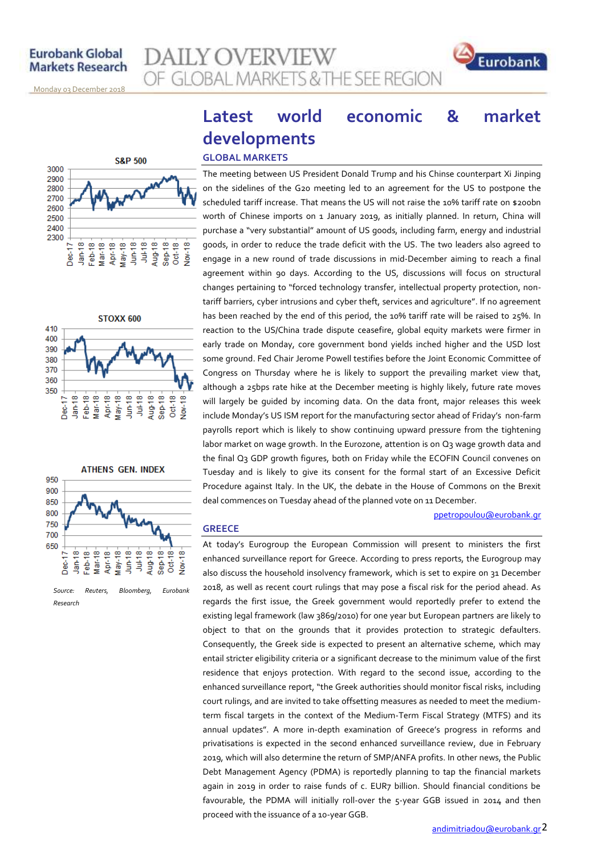**AILY OVERVIEW** OF GLOBAL MARKETS & THE SEE REGION



<u>Monday o3 December 2018</u>







**GREECE**

## **Latest world economic & market developments GLOBAL MARKETS**

#### The meeting between US President Donald Trump and his Chinse counterpart Xi Jinping on the sidelines of the G20 meeting led to an agreement for the US to postpone the scheduled tariff increase. That means the US will not raise the 10% tariff rate on \$200bn worth of Chinese imports on 1 January 2019, as initially planned. In return, China will purchase a "very substantial" amount of US goods, including farm, energy and industrial goods, in order to reduce the trade deficit with the US. The two leaders also agreed to engage in a new round of trade discussions in mid-December aiming to reach a final agreement within 90 days. According to the US, discussions will focus on structural changes pertaining to "forced technology transfer, intellectual property protection, nontariff barriers, cyber intrusions and cyber theft, services and agriculture". If no agreement has been reached by the end of this period, the 10% tariff rate will be raised to 25%. In reaction to the US/China trade dispute ceasefire, global equity markets were firmer in early trade on Monday, core government bond yields inched higher and the USD lost some ground. Fed Chair Jerome Powell testifies before the Joint Economic Committee of Congress on Thursday where he is likely to support the prevailing market view that, although a 25bps rate hike at the December meeting is highly likely, future rate moves will largely be guided by incoming data. On the data front, major releases this week include Monday's US ISM report for the manufacturing sector ahead of Friday's non-farm payrolls report which is likely to show continuing upward pressure from the tightening labor market on wage growth. In the Eurozone, attention is on Q3 wage growth data and the final Q3 GDP growth figures, both on Friday while the ECOFIN Council convenes on Tuesday and is likely to give its consent for the formal start of an Excessive Deficit Procedure against Italy. In the UK, the debate in the House of Commons on the Brexit deal commences on Tuesday ahead of the planned vote on 11 December.

#### [ppetropoulou@eurobank.gr](mailto:ppetropoulou@eurobank.gr)

At today's Eurogroup the European Commission will present to ministers the first enhanced surveillance report for Greece. According to press reports, the Eurogroup may also discuss the household insolvency framework, which is set to expire on 31 December 2018, as well as recent court rulings that may pose a fiscal risk for the period ahead. As regards the first issue, the Greek government would reportedly prefer to extend the existing legal framework (law 3869/2010) for one year but European partners are likely to object to that on the grounds that it provides protection to strategic defaulters. Consequently, the Greek side is expected to present an alternative scheme, which may entail stricter eligibility criteria or a significant decrease to the minimum value of the first residence that enjoys protection. With regard to the second issue, according to the enhanced surveillance report, "the Greek authorities should monitor fiscal risks, including court rulings, and are invited to take offsetting measures as needed to meet the mediumterm fiscal targets in the context of the Medium-Term Fiscal Strategy (MTFS) and its annual updates". A more in-depth examination of Greece's progress in reforms and privatisations is expected in the second enhanced surveillance review, due in February 2019, which will also determine the return of SMP/ANFA profits. In other news, the Public Debt Management Agency (PDMA) is reportedly planning to tap the financial markets again in 2019 in order to raise funds of c. EUR7 billion. Should financial conditions be favourable, the PDMA will initially roll-over the 5-year GGB issued in 2014 and then proceed with the issuance of a 10-year GGB.

*Research*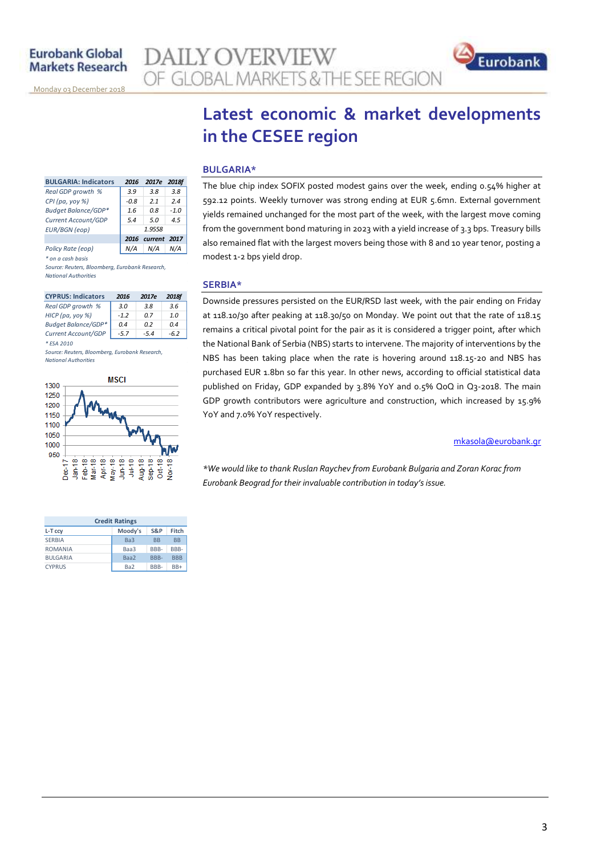<u>Monday o3 December 2018</u>



## **Latest economic & market developments in the CESEE region**

#### **BULGARIA\***

The blue chip index SOFIX posted modest gains over the week, ending 0.54% higher at 592.12 points. Weekly turnover was strong ending at EUR 5.6mn. External government yields remained unchanged for the most part of the week, with the largest move coming from the government bond maturing in 2023 with a yield increase of 3.3 bps. Treasury bills also remained flat with the largest movers being those with 8 and 10 year tenor, posting a modest 1-2 bps yield drop.

#### **SERBIA\***

Downside pressures persisted on the EUR/RSD last week, with the pair ending on Friday at 118.10/30 after peaking at 118.30/50 on Monday. We point out that the rate of 118.15 remains a critical pivotal point for the pair as it is considered a trigger point, after which the National Bank of Serbia (NBS) starts to intervene. The majority of interventions by the NBS has been taking place when the rate is hovering around 118.15-20 and NBS has purchased EUR 1.8bn so far this year. In other news, according to official statistical data published on Friday, GDP expanded by 3.8% YoY and 0.5% QoQ in Q3-2018. The main GDP growth contributors were agriculture and construction, which increased by 15.9% YoY and 7.0% YoY respectively.

#### [mkasola@eurobank.gr](mailto:mkasola@eurobank.gr)

*\*We would like to thank Ruslan Raychev from Eurobank Bulgaria and Zoran Korac from Eurobank Beograd for their invaluable contribution in today's issue.*

| <b>BULGARIA: Indicators</b> | 2016   | 2017e   | <b>2018f</b> |
|-----------------------------|--------|---------|--------------|
| Real GDP growth %           | 3.9    | 3.8     | 3.8          |
| CPI (pa, yoy %)             | $-0.8$ | 21      | 24           |
| Budget Balance/GDP*         | 1.6    | 0.8     | $-1.0$       |
| Current Account/GDP         | 5.4    | 5.0     | 4.5          |
| <b>EUR/BGN</b> (eop)        | 1.9558 |         |              |
|                             | 2016   | current | 2017         |
| Policy Rate (eop)           |        | N/A     | N/A          |
| * on a cash basis           |        |         |              |

*Source: Reuters, Bloomberg, Eurobank Research, National Authorities*

| <b>CYPRUS: Indicators</b>  | 2016   | 2017e  | 2018f  |
|----------------------------|--------|--------|--------|
| Real GDP growth %          | 3.0    | 3.8    | 3.6    |
| HICP (pa, yoy %)           | $-12$  | 0 Z    | 1.0    |
| <b>Budget Balance/GDP*</b> | 04     | n 2    | 0.4    |
| Current Account/GDP        | $-5.7$ | $-5.4$ | $-6.2$ |
|                            |        |        |        |

*Source: Reuters, Bloomberg, Eurobank Research, National Authorities*



| <b>Credit Ratings</b> |                 |           |            |  |  |
|-----------------------|-----------------|-----------|------------|--|--|
| L-T ccy               | Moody's         | S&P       | Fitch      |  |  |
| <b>SERBIA</b>         | Ba <sub>3</sub> | <b>BB</b> | <b>BB</b>  |  |  |
| <b>ROMANIA</b>        | Baa3            | BBB-      | RRR-       |  |  |
| <b>BULGARIA</b>       | Baa2            | BBB-      | <b>BBB</b> |  |  |
| <b>CYPRUS</b>         | Ba <sub>2</sub> | RRR-      | $RR+$      |  |  |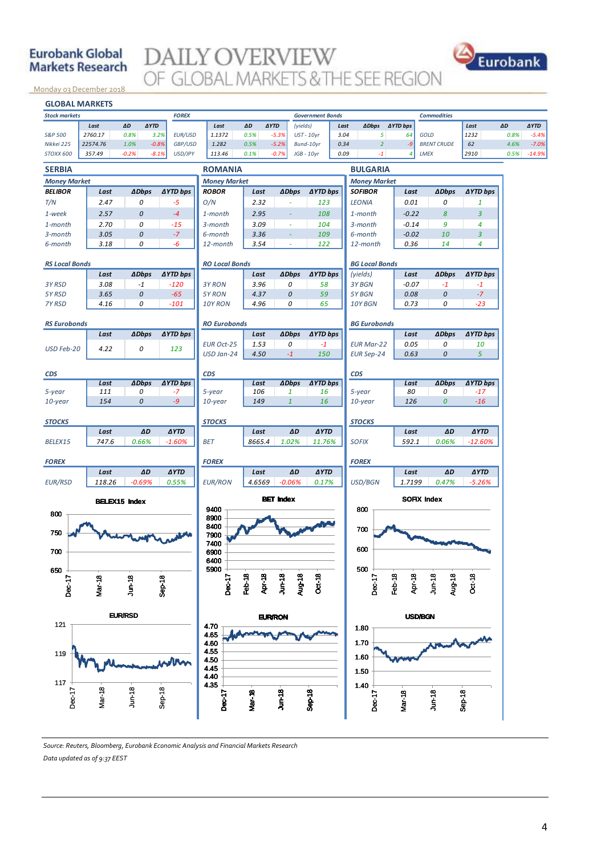#### **Eurobank Global Markets Research**

# **DAILY OVERVIEW**



<u>Monday o3 December 2018</u>



*Source: Reuters, Bloomberg, Eurobank Economic Analysis and Financial Markets Research Data updated as of 9:37 EEST*